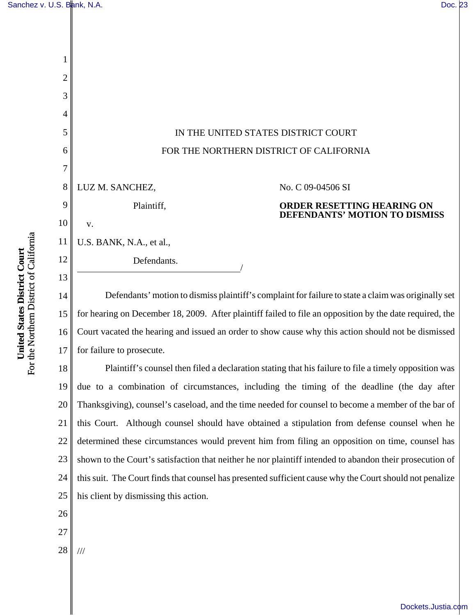

15 16 17 for hearing on December 18, 2009. After plaintiff failed to file an opposition by the date required, the Court vacated the hearing and issued an order to show cause why this action should not be dismissed for failure to prosecute.

18 19 20 21 22 23 24 25 Plaintiff's counsel then filed a declaration stating that his failure to file a timely opposition was due to a combination of circumstances, including the timing of the deadline (the day after Thanksgiving), counsel's caseload, and the time needed for counsel to become a member of the bar of this Court. Although counsel should have obtained a stipulation from defense counsel when he determined these circumstances would prevent him from filing an opposition on time, counsel has shown to the Court's satisfaction that neither he nor plaintiff intended to abandon their prosecution of this suit. The Court finds that counsel has presented sufficient cause why the Court should not penalize his client by dismissing this action.

26

**United States District Court** For the Northern District of California

For the Northern District of California United States District Court

- 27
- 28

///